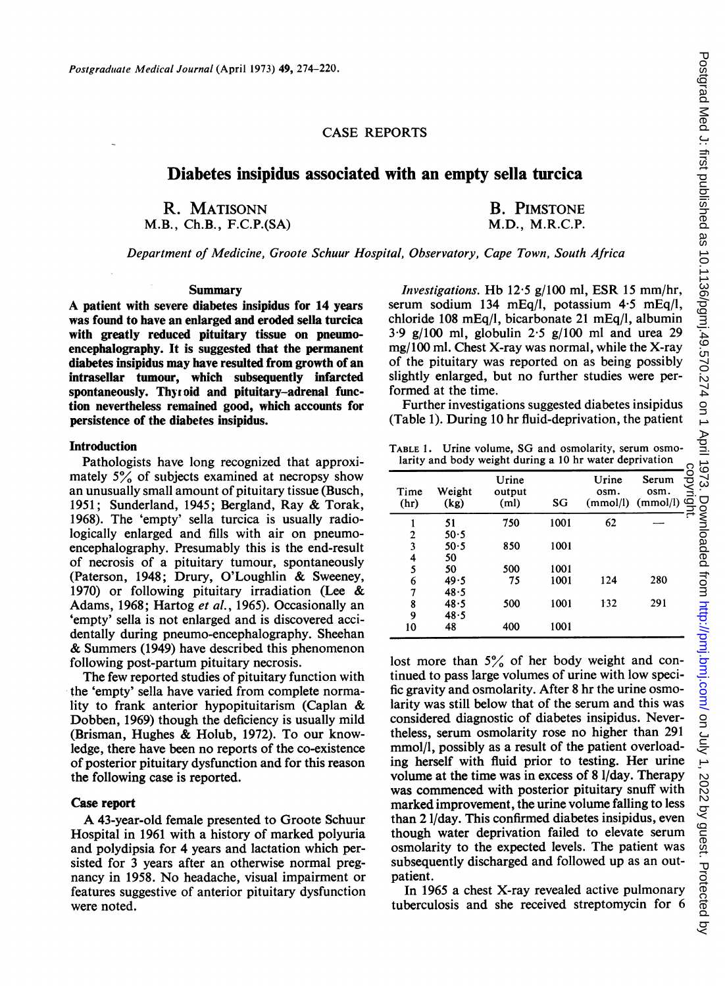# CASE REPORTS

# Diabetes insipidus associated with an empty sella turcica

R. MATISONN M.B., Ch.B., F.C.P.(SA)

B. PIMSTONE M.D., M.R.C.P.

Department of Medicine, Groote Schuur Hospital, Observatory, Cape Town, South Africa

## Summary

A patient with severe diabetes insipidus for <sup>14</sup> years was found to have an enlarged and eroded sella turcica with greatly reduced pituitary tissue on pneumoencephalography. It is suggested that the permanent diabetes insipidus may have resulted from growth of an intrasellar tumour, which subsequently infarcted spontaneously. Thyzoid and pituitary-adrenal function nevertheless remained good, which accounts for persistence of the diabetes insipidus.

#### Introduction

Pathologists have long recognized that approximately  $5\%$  of subjects examined at necropsy show an unusually small amount of pituitary tissue (Busch, 1951; Sunderland, 1945; Bergland, Ray & Torak, 1968). The 'empty' sella turcica is usually radiologically enlarged and fills with air on pneumoencephalography. Presumably this is the end-result of necrosis of a pituitary tumour, spontaneously (Paterson, 1948; Drury, O'Loughlin & Sweeney, 1970) or following pituitary irradiation (Lee & Adams, 1968; Hartog et al., 1965). Occasionally an 'empty' sella is not enlarged and is discovered accidentally during pneumo-encephalography. Sheehan & Summers (1949) have described this phenomenon following post-partum pituitary necrosis.

The few reported studies of pituitary function with the 'empty' sella have varied from complete normality to frank anterior hypopituitarism (Caplan & Dobben, 1969) though the deficiency is usually mild (Brisman, Hughes & Holub, 1972). To our knowledge, there have been no reports of the co-existence of posterior pituitary dysfunction and for this reason the following case is reported.

## Case report

A 43-year-old female presented to Groote Schuur Hospital in 1961 with a history of marked polyuria and polydipsia for 4 years and lactation which persisted for 3 years after an otherwise normal pregnancy in 1958. No headache, visual impairment or features suggestive of anterior pituitary dysfunction were noted.

Investigations. Hb 12.5 g/100 ml, ESR 15 mm/hr, serum sodium 134 mEq/l, potassium 4.5 mEq/l, chloride 108 mEq/l, bicarbonate 21 mEq/l, albumin  $3.9 \text{ g}/100 \text{ ml}$ , globulin  $2.5 \text{ g}/100 \text{ ml}$  and urea 29 mg/100 ml. Chest X-ray was normal, while the X-ray of the pituitary was reported on as being possibly slightly enlarged, but no further studies were performed at the time.

Further investigations suggested diabetes insipidus (Table 1). During 10 hr fluid-deprivation, the patient

TABLE 1. Urine volume, SG and osmolarity, serum osmolarity and body weight during a 10 hr water deprivation

| $m_{11}$ , $m_{12}$ $m_{23}$ , $m_{25}$ , $m_{31}$ , $m_{12}$ , $m_{13}$ , $m_{14}$ , $m_{15}$ , $m_{16}$ , $m_{17}$ , $m_{18}$ , $m_{19}$ , $m_{10}$ |                |                                      |      |                           |                           |               |  |
|-------------------------------------------------------------------------------------------------------------------------------------------------------|----------------|--------------------------------------|------|---------------------------|---------------------------|---------------|--|
| Time<br>(hr)                                                                                                                                          | Weight<br>(kg) | Urine<br>output<br>(m <sub>l</sub> ) | SG   | Urine<br>osm.<br>(mmol/l) | Serum<br>osm.<br>(mmol/l) | copyrigl<br>∃ |  |
|                                                                                                                                                       | 51             | 750                                  | 1001 | 62                        |                           |               |  |
| 2                                                                                                                                                     | 50.5           |                                      |      |                           |                           |               |  |
| 3                                                                                                                                                     | 50.5           | 850                                  | 1001 |                           |                           |               |  |
| 4                                                                                                                                                     | 50             |                                      |      |                           |                           |               |  |
| 5                                                                                                                                                     | 50             | 500                                  | 1001 |                           |                           |               |  |
| 6                                                                                                                                                     | 49.5           | 75                                   | 1001 | 124                       | 280                       |               |  |
| 7                                                                                                                                                     | 48.5           |                                      |      |                           |                           |               |  |
| 8                                                                                                                                                     | 48.5           | 500                                  | 1001 | 132                       | 291                       |               |  |
| 9                                                                                                                                                     | 48.5           |                                      |      |                           |                           |               |  |
| 10                                                                                                                                                    | 48             | 400                                  | 1001 |                           |                           |               |  |

lost more than  $5\%$  of her body weight and continued to pass large volumes of urine with low specific gravity and osmolarity. After 8 hr the urine osmolarity was still below that of the serum and this was considered diagnostic of diabetes insipidus. Nevertheless, serum osmolarity rose no higher than 291 mmol/l, possibly as a result of the patient overloading herself with fluid prior to testing. Her urine volume at the time was in excess of 8 1/day. Therapy was commenced with posterior pituitary snuff with marked improvement, the urine volume falling to less than 21/day. This confirmed diabetes insipidus, even though water deprivation failed to elevate serum osmolarity to the expected levels. The patient was subsequently discharged and followed up as an outpatient.

In 1965 a chest X-ray revealed active pulmonary tuberculosis and she received streptomycin for 6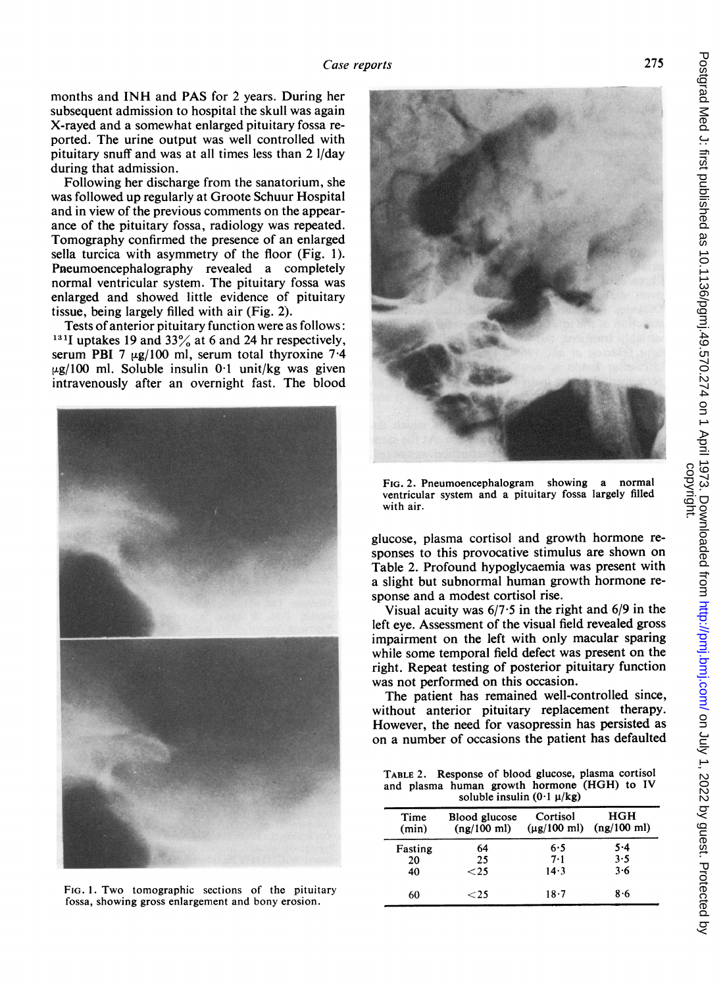months and INH and PAS for <sup>2</sup> years. During her subsequent admission to hospital the skull was again X-rayed and a somewhat enlarged pituitary fossa reported. The urine output was well controlled with pituitary snuff and was at all times less than 2 I/day during that admission.

Following her discharge from the sanatorium, she was followed up regularly at Groote Schuur Hospital and in view of the previous comments on the appearance of the pituitary fossa, radiology was repeated. Tomography confirmed the presence of an enlarged sella turcica with asymmetry of the floor (Fig. 1). Pneumoencephalography revealed a completely normal ventricular system. The pituitary fossa was enlarged and showed little evidence of pituitary tissue, being largely filled with air (Fig. 2).

Tests of anterior pituitary function were as follows: <sup>131</sup>I uptakes 19 and 33 $\%$  at 6 and 24 hr respectively, serum PBI 7  $\mu$ g/100 ml, serum total thyroxine 7.4  $\mu$ g/100 ml. Soluble insulin 0.1 unit/kg was given intravenously after an overnight fast. The blood



FIG. 1. Two tomographic sections of the pituitary fossa, showing gross enlargement and bony erosion.



FIG. 2. Pneumoencephalogram showing a normal ventricular system and a pituitary fossa largely filled with air.

glucose, plasma cortisol and growth hormone responses to this provocative stimulus are shown on Table 2. Profound hypoglycaemia was present with a slight but subnormal human growth hormone response and a modest cortisol rise.

Visual acuity was  $6/7.5$  in the right and  $6/9$  in the left eye. Assessment of the visual field revealed gross impairment on the left with only macular sparing while some temporal field defect was present on the right. Repeat testing of posterior pituitary function was not performed on this occasion.

The patient has remained well-controlled since, without anterior pituitary replacement therapy. However, the need for vasopressin has persisted as on a number of occasions the patient has defaulted

TABLE 2. Response of blood glucose, plasma cortisol and plasma human growth hormone (HGH) to IV soluble insulin  $(0.1 \mu/kg)$ 

| Time<br>(min) | Blood glucose<br>(ng/100 ml) | Cortisol<br>$(\mu$ g/100 ml) | HGH<br>(ng/100 ml) |
|---------------|------------------------------|------------------------------|--------------------|
| Fasting       | 64                           | 6.5                          | $5 - 4$            |
| 20            | 25                           | 7.1                          | 3.5                |
| 40            | ${<}25$                      | 14.3                         | 3.6                |
| 60            | ${<}\,25$                    | $18 - 7$                     | $8 - 6$            |